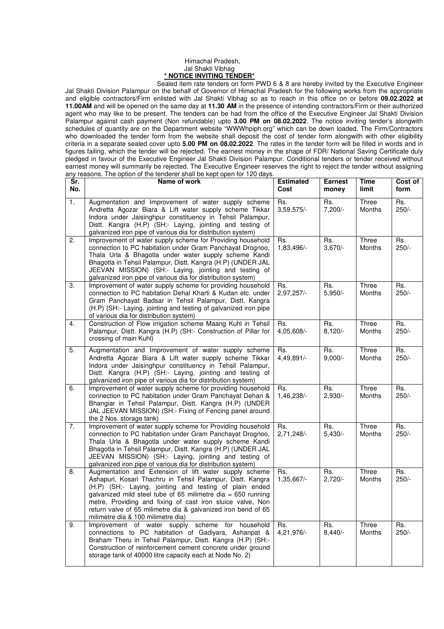## Himachal Pradesh, Jal Shakti Vibhag **\* NOTICE INVITING TENDER\***

 Sealed item rate tenders on form PWD 6 & 8 are hereby invited by the Executive Engineer Jal Shakti Division Palampur on the behalf of Governor of Himachal Pradesh for the following works from the appropriate and eligible contractors/Firm enlisted with Jal Shakti Vibhag so as to reach in this office on or before **09.02.2022 at 11.00AM** and will be opened on the same day at **11.30 AM** in the presence of intending contractors/Firm or their authorized agent who may like to be present. The tenders can be had from the office of the Executive Engineer Jal Shakti Division Palampur against cash payment (Non refundable) upto **3.00 PM on 08.02.2022**. The notice inviting tender's alongwith schedules of quantity are on the Department website "WWWhpiph.org" which can be down loaded. The Firm/Contractors who downloaded the tender form from the website shall deposit the cost of tender form alongwith with other eligibility criteria in a separate sealed cover upto **5.00 PM on 08.02.2022**. The rates in the tender form will be filled in words and in figures failing, which the tender will be rejected. The earnest money in the shape of FDR/ National Saving Certificate duly pledged in favour of the Executive Engineer Jal Shakti Division Palampur. Conditional tenders or tender received without earnest money will summarily be rejected. The Executive Engineer reserves the right to reject the tender without assigning any reasons. The option of the tenderer shall be kept open for 120 days.

| Sr.<br>No.       | Name of work                                                                                                                                                                                                                                                                                                                                                                                                         | <b>Estimated</b><br>Cost | <b>Earnest</b><br>money | <b>Time</b><br>limit   | Cost of<br>form |
|------------------|----------------------------------------------------------------------------------------------------------------------------------------------------------------------------------------------------------------------------------------------------------------------------------------------------------------------------------------------------------------------------------------------------------------------|--------------------------|-------------------------|------------------------|-----------------|
| $\overline{1}$ . | Augmentation and Improvement of water supply scheme<br>Andretta Agozar Biara & Lift water supply scheme Tikkar<br>Indora under Jaisinghpur constituency in Tehsil Palampur,<br>Distt. Kangra (H.P) (SH:- Laying, jointing and testing of<br>galvanized iron pipe of various dia for distribution system)                                                                                                             | Rs.<br>$3,59,575/-$      | Rs.<br>$7,200/-$        | Three<br><b>Months</b> | Rs.<br>$250/-$  |
| 2.               | Improvement of water supply scheme for Providing household<br>connection to PC habitation under Gram Panchayat Drognoo,<br>Thala Urla & Bhagotla under water supply scheme Kandi<br>Bhagotla in Tehsil Palampur, Distt. Kangra (H.P) (UNDER JAL<br>JEEVAN MISSION) (SH:- Laying, jointing and testing of<br>galvanized iron pipe of various dia for distribution system)                                             | Rs.<br>1,83,496/-        | Rs.<br>$3,670/-$        | Three<br>Months        | Rs.<br>$250/-$  |
| 3.               | Improvement of water supply scheme for providing household<br>connection to PC habitation Dehal Kharti & Kudan etc. under<br>Gram Panchayat Badsar in Tehsil Palampur, Distt. Kangra<br>(H.P) (SH:- Laying, jointing and testing of galvanized iron pipe<br>of various dia for distribution system)                                                                                                                  | Rs.<br>2,97,257/-        | Rs.<br>$5,950/-$        | Three<br><b>Months</b> | Rs.<br>$250/-$  |
| 4.               | Construction of Flow irrigation scheme Maang Kuhl in Tehsil<br>Palampur, Distt. Kangra (H.P) (SH:- Construction of Pillar for<br>crossing of main Kuhl)                                                                                                                                                                                                                                                              | Rs.<br>4,05,608/-        | Rs.<br>$8,120/-$        | Three<br>Months        | Rs.<br>$250/-$  |
| 5.               | Augmentation and Improvement of water supply scheme<br>Andretta Agozar Biara & Lift water supply scheme Tikkar<br>Indora under Jaisinghpur constituency in Tehsil Palampur,<br>Distt. Kangra (H.P) (SH:- Laying, jointing and testing of<br>galvanized iron pipe of various dia for distribution system)                                                                                                             | Rs.<br>4,49,891/-        | Rs.<br>$9,000/-$        | Three<br>Months        | Rs.<br>$250/-$  |
| 6.               | Improvement of water supply scheme for providing household<br>connection to PC habitation under Gram Panchayat Dehan &<br>Bhangiar in Tehsil Palampur, Distt. Kangra (H.P) (UNDER<br>JAL JEEVAN MISSION) (SH:- Fixing of Fencing panel around<br>the 2 Nos. storage tank)                                                                                                                                            | Rs.<br>1,46,238/-        | Rs.<br>$2,930/-$        | Three<br>Months        | Rs.<br>$250/-$  |
| 7.               | Improvement of water supply scheme for Providing household<br>connection to PC habitation under Gram Panchayat Drognoo,<br>Thala Urla & Bhagotla under water supply scheme Kandi<br>Bhagotla in Tehsil Palampur, Distt. Kangra (H.P) (UNDER JAL<br>JEEVAN MISSION) (SH:- Laying, jointing and testing of<br>galvanized iron pipe of various dia for distribution system)                                             | Rs.<br>$2.71.248/-$      | Rs.<br>$5,430/-$        | Three<br><b>Months</b> | Rs.<br>$250/-$  |
| 8.               | Augmentation and Extension of lift water supply scheme<br>Ashapuri, Kosari Thachru in Tehsil Palampur, Distt. Kangra<br>(H.P) (SH:- Laying, jointing and testing of plain ended<br>galvanized mild steel tube of 65 milimetre dia = 650 running<br>metre, Providing and fixing of cast iron sluice valve, Non<br>return valve of 65 milimetre dia & galvanized iron bend of 65<br>milimetre dia & 100 milimetre dia) | Rs.<br>1,35,667/-        | Rs.<br>$2,720/-$        | Three<br>Months        | Rs.<br>250/-    |
| 9.               | Improvement of water supply scheme<br>for<br>household<br>connections to PC habitation of Gadiyara, Ashanpat &<br>Braham Theru in Tehsil Palampur, Distt. Kangra (H.P) (SH:-<br>Construction of reinforcement cement concrete under ground<br>storage tank of 40000 litre capacity each at Node No. 2)                                                                                                               | Rs.<br>4,21,976/-        | Rs.<br>$8,440/-$        | Three<br>Months        | Rs.<br>250/-    |